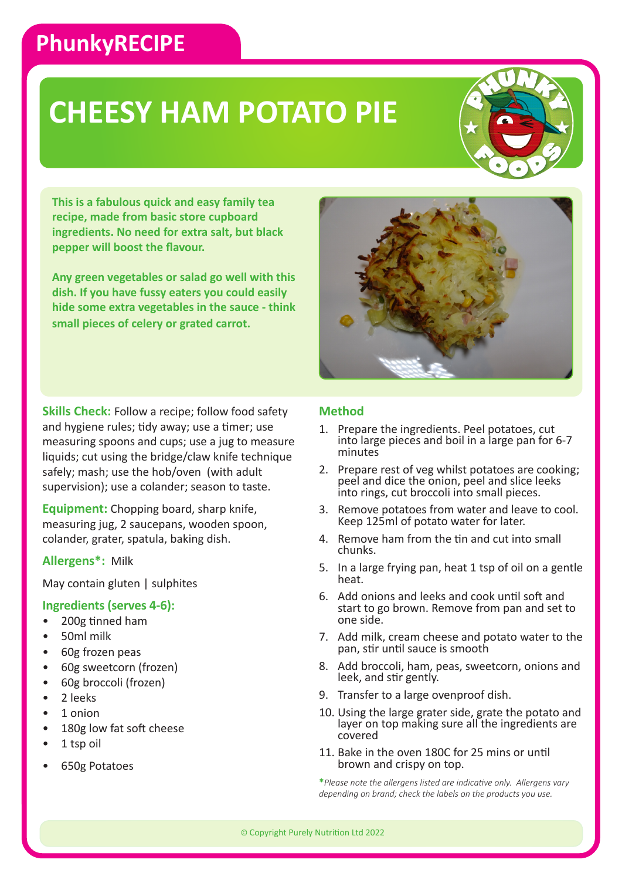### **PhunkyRECIPE**

# **CHEESY HAM POTATO PIE**



**This is a fabulous quick and easy family tea recipe, made from basic store cupboard ingredients. No need for extra salt, but black pepper will boost the flavour.** 

**Any green vegetables or salad go well with this dish. If you have fussy eaters you could easily hide some extra vegetables in the sauce - think small pieces of celery or grated carrot.**

**Skills Check:** Follow a recipe; follow food safety and hygiene rules; tidy away; use a timer; use measuring spoons and cups; use a jug to measure liquids; cut using the bridge/claw knife technique safely; mash; use the hob/oven (with adult supervision); use a colander; season to taste.

**Equipment:** Chopping board, sharp knife, measuring jug, 2 saucepans, wooden spoon, colander, grater, spatula, baking dish.

#### **Allergens\*:** Milk

May contain gluten | sulphites

#### **Ingredients (serves 4-6):**

- 200g tinned ham
- 50ml milk
- 60g frozen peas
- 60g sweetcorn (frozen)
- 60g broccoli (frozen)
- 2 leeks
- 1 onion
- 180g low fat soft cheese
- 1 tsp oil
- 650g Potatoes

### **Method**

- 1. Prepare the ingredients. Peel potatoes, cut into large pieces and boil in a large pan for 6-7 minutes
- 2. Prepare rest of veg whilst potatoes are cooking; peel and dice the onion, peel and slice leeks into rings, cut broccoli into small pieces.
- 3. Remove potatoes from water and leave to cool. Keep 125ml of potato water for later.
- 4. Remove ham from the tin and cut into small chunks.
- 5. In a large frying pan, heat 1 tsp of oil on a gentle heat.
- 6. Add onions and leeks and cook until soft and start to go brown. Remove from pan and set to one side.
- 7. Add milk, cream cheese and potato water to the pan, stir until sauce is smooth
- 8. Add broccoli, ham, peas, sweetcorn, onions and leek, and stir gently.
- 9. Transfer to a large ovenproof dish.
- 10. Using the large grater side, grate the potato and layer on top making sure all the ingredients are covered
- 11. Bake in the oven 180C for 25 mins or until brown and crispy on top.

**\****Please note the allergens listed are indicative only. Allergens vary depending on brand; check the labels on the products you use.*